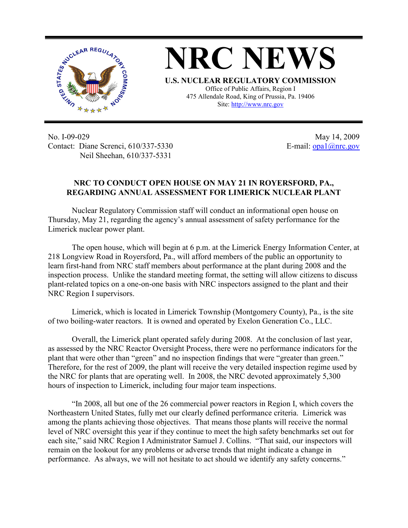

**NRC NEWS U.S. NUCLEAR REGULATORY COMMISSION** Office of Public Affairs, Region I 475 Allendale Road, King of Prussia, Pa. 19406

Site: http://www.nrc.gov

No. I-09-029 Contact: Diane Screnci, 610/337-5330 Neil Sheehan, 610/337-5331

May 14, 2009 E-mail:  $\frac{opa1}{@nrc.gov}$ 

## **NRC TO CONDUCT OPEN HOUSE ON MAY 21 IN ROYERSFORD, PA., REGARDING ANNUAL ASSESSMENT FOR LIMERICK NUCLEAR PLANT**

Nuclear Regulatory Commission staff will conduct an informational open house on Thursday, May 21, regarding the agency's annual assessment of safety performance for the Limerick nuclear power plant.

The open house, which will begin at 6 p.m. at the Limerick Energy Information Center, at 218 Longview Road in Royersford, Pa., will afford members of the public an opportunity to learn first-hand from NRC staff members about performance at the plant during 2008 and the inspection process. Unlike the standard meeting format, the setting will allow citizens to discuss plant-related topics on a one-on-one basis with NRC inspectors assigned to the plant and their NRC Region I supervisors.

Limerick, which is located in Limerick Township (Montgomery County), Pa., is the site of two boiling-water reactors. It is owned and operated by Exelon Generation Co., LLC.

Overall, the Limerick plant operated safely during 2008. At the conclusion of last year, as assessed by the NRC Reactor Oversight Process, there were no performance indicators for the plant that were other than "green" and no inspection findings that were "greater than green." Therefore, for the rest of 2009, the plant will receive the very detailed inspection regime used by the NRC for plants that are operating well. In 2008, the NRC devoted approximately 5,300 hours of inspection to Limerick, including four major team inspections.

"In 2008, all but one of the 26 commercial power reactors in Region I, which covers the Northeastern United States, fully met our clearly defined performance criteria. Limerick was among the plants achieving those objectives. That means those plants will receive the normal level of NRC oversight this year if they continue to meet the high safety benchmarks set out for each site," said NRC Region I Administrator Samuel J. Collins. "That said, our inspectors will remain on the lookout for any problems or adverse trends that might indicate a change in performance. As always, we will not hesitate to act should we identify any safety concerns."